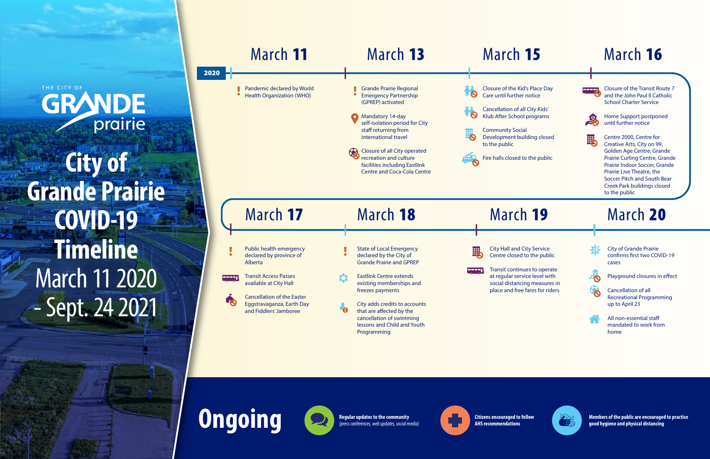**GRANDE City of Grande Prairie COVID-19 Timeline** March 11 2020 - Sept. 24 2021

THE CITY OF

# March 16

Place Day otice

City Kids' rograms

ling closed

the public



Closure of the Transit Route 7 and the John Paul ll Catholic School Charter Service



Home Support postponed until further notice



Centre 2000, Centre for Creative Arts, City on 99, Golden Age Centre, Grande Prairie Curling Centre, Grande Prairie Indoor Soccer, Grande Prairie Live Theatre, the Soccer Pitch and South Bear Creek Park buildings closed to the public

/ Service the public

s to operate e level with measures in res for riders



|      | March 11                                                                                                                                                                                                            | March 13                                                                                                                                                                                                                                                                                                                   | March 15                                                                                                                                                                                                                                 |
|------|---------------------------------------------------------------------------------------------------------------------------------------------------------------------------------------------------------------------|----------------------------------------------------------------------------------------------------------------------------------------------------------------------------------------------------------------------------------------------------------------------------------------------------------------------------|------------------------------------------------------------------------------------------------------------------------------------------------------------------------------------------------------------------------------------------|
| 2020 | Pandemic declared by World<br>$\bullet$<br><b>Health Organization (WHO)</b>                                                                                                                                         | <b>Grande Prairie Regional</b><br><b>Emergency Partnership</b><br>(GPREP) activated<br>Mandatory 14-day<br>self-isolation period for City<br>staff returning from<br>international travel<br>Closure of all City operated<br>recreation and culture<br>facilities including Eastlink<br><b>Centre and Coca-Cola Centre</b> | Closure of the Kid's Place D<br>Care until further notice<br><b>Cancellation of all City Kids</b><br>Klub After School program:<br><b>Community Social</b><br>Development building clos<br>to the public<br>Fire halls closed to the pub |
|      | March 17                                                                                                                                                                                                            | March 18                                                                                                                                                                                                                                                                                                                   | March 19                                                                                                                                                                                                                                 |
|      | Public health emergency<br>declared by province of<br>Alberta<br><b>Transit Access Passes</b><br>available at City Hall<br><b>Cancellation of the Easter</b><br>Eggstravaganza, Earth Day<br>and Fiddlers' Jamboree | <b>State of Local Emergency</b><br>declared by the City of<br><b>Grande Prairie and GPREP</b><br><b>Eastlink Centre extends</b><br>existing memberships and<br>freezes payments<br>City adds credits to accounts<br>that are affected by the<br>cancellation of swimming<br>lessons and Child and Youth<br>Programming     | City Hall and City Service<br>Centre closed to the pul<br>Transit continues to ope<br>at regular service level w<br>social distancing measu<br>place and free fares for r                                                                |

**Ongoing Ching Regular updates to the community** 

March 20



Playground closures in effect



City of Grande Prairie confirms first two COVID-19 cases

Cancellation of all Recreational Programming up to April 23



All non-essential sta mandated to work from home



*(press conferences, web updates, social media)*



**Citizens encouraged to follow AHS recommendations**

**Members of the public are encouraged to practice good hygiene and physical distancing**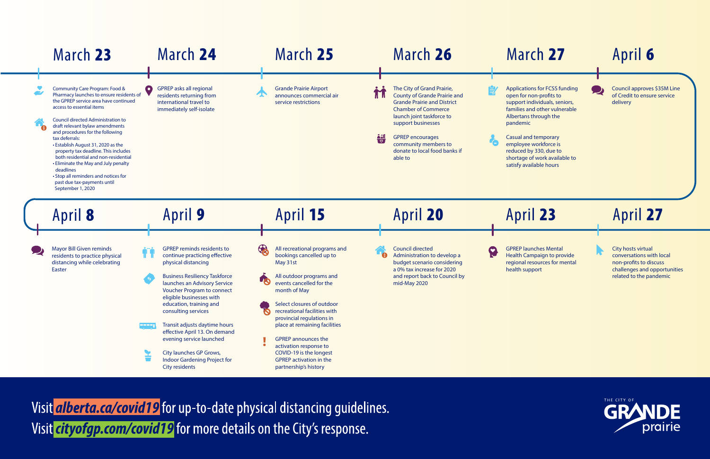| March 23                                                                                                                                                                                                                                                                                                                                                                                                                                                                                                                                                      | March 24                                                                                                                                                                                                                                                                                                                                                                                                                                                                               |   | March 25                                                                                                                                                                                                                                                                                                                                                                                                                |             | March 26                                                                                                                                                                                                                                                                                |   | Mar                                                                                                                                                                       |
|---------------------------------------------------------------------------------------------------------------------------------------------------------------------------------------------------------------------------------------------------------------------------------------------------------------------------------------------------------------------------------------------------------------------------------------------------------------------------------------------------------------------------------------------------------------|----------------------------------------------------------------------------------------------------------------------------------------------------------------------------------------------------------------------------------------------------------------------------------------------------------------------------------------------------------------------------------------------------------------------------------------------------------------------------------------|---|-------------------------------------------------------------------------------------------------------------------------------------------------------------------------------------------------------------------------------------------------------------------------------------------------------------------------------------------------------------------------------------------------------------------------|-------------|-----------------------------------------------------------------------------------------------------------------------------------------------------------------------------------------------------------------------------------------------------------------------------------------|---|---------------------------------------------------------------------------------------------------------------------------------------------------------------------------|
| Community Care Program: Food &<br>Pharmacy launches to ensure residents of<br>the GPREP service area have continued<br>access to essential items<br><b>Council directed Administration to</b><br>draft relevant bylaw amendments<br>and procedures for the following<br>tax deferrals:<br>• Establish August 31, 2020 as the<br>property tax deadline. This includes<br>both residential and non-residential<br>• Eliminate the May and July penalty<br>deadlines<br>• Stop all reminders and notices for<br>past due tax-payments until<br>September 1, 2020 | <b>GPREP</b> asks all regional<br>$\bullet$<br>residents returning from<br>international travel to<br>immediately self-isolate                                                                                                                                                                                                                                                                                                                                                         |   | <b>Grande Prairie Airport</b><br>announces commercial air<br>service restrictions                                                                                                                                                                                                                                                                                                                                       | 'II II<br>楊 | The City of Grand Prairie,<br><b>County of Grande Prairie and</b><br><b>Grande Prairie and District</b><br><b>Chamber of Commerce</b><br>launch joint taskforce to<br>support businesses<br><b>GPREP</b> encourages<br>community members to<br>donate to local food banks if<br>able to |   | Application<br>open for n<br>support in<br>families an<br>Albertans <sup>t</sup><br>pandemic<br><b>Casual and</b><br>employee<br>reduced by<br>shortage o<br>satisfy avai |
| April 8                                                                                                                                                                                                                                                                                                                                                                                                                                                                                                                                                       | <b>April 9</b>                                                                                                                                                                                                                                                                                                                                                                                                                                                                         |   | April 15                                                                                                                                                                                                                                                                                                                                                                                                                |             | April 20                                                                                                                                                                                                                                                                                |   | Apri                                                                                                                                                                      |
| Mayor Bill Given reminds<br>residents to practice physical<br>distancing while celebrating<br>Easter                                                                                                                                                                                                                                                                                                                                                                                                                                                          | <b>GPREP reminds residents to</b><br>continue practicing effective<br>physical distancing<br><b>Business Resiliency Taskforce</b><br>launches an Advisory Service<br><b>Voucher Program to connect</b><br>eligible businesses with<br>education, training and<br>consulting services<br>Transit adjusts daytime hours<br><b>PEPEL</b><br>effective April 13. On demand<br>evening service launched<br>City launches GP Grows,<br><b>Indoor Gardening Project for</b><br>City residents | 8 | All recreational programs and<br>bookings cancelled up to<br>May 31st<br>All outdoor programs and<br>events cancelled for the<br>month of May<br>Select closures of outdoor<br>recreational facilities with<br>provincial regulations in<br>place at remaining facilities<br><b>GPREP</b> announces the<br>activation response to<br>COVID-19 is the longest<br><b>GPREP activation in the</b><br>partnership's history |             | <b>Council directed</b><br>Administration to develop a<br>budget scenario considering<br>a 0% tax increase for 2020<br>and report back to Council by<br>mid-May 2020                                                                                                                    | 8 | <b>GPREP laur</b><br><b>Health Car</b><br>regional re<br>health sup                                                                                                       |

Visit *alberta.ca/covid19* for up-to-date physical distancing guidelines. Visit *cityofgp.com/covid19* for more details on the City's response.

# $rch 27$

ons for FCSS funding non-profits to ndividuals, seniors, and other vulnerable s through the

nd temporary e workforce is by 330, due to of work available to vailable hours



# April 27

City hosts virtual conversations with local non-profits to discuss challenges and opportunities related to the pandemic



# April 6

Council approves \$35M Line of Credit to ensure service delivery

# il 23

unches Mental ampaign to provide resources for mental ipport

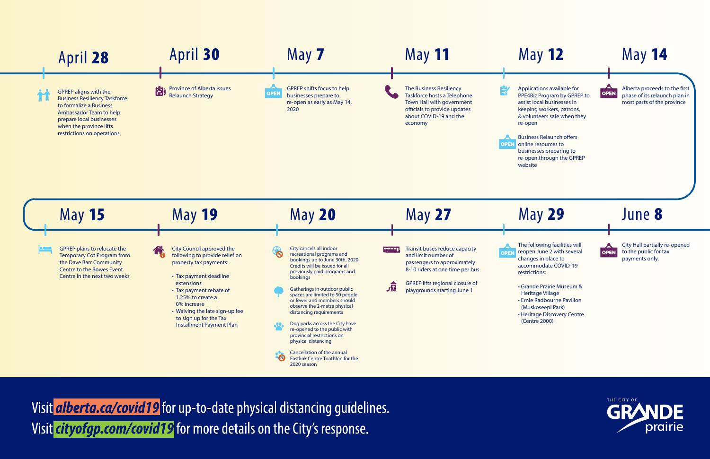# May 12

Applications available for PPE4Biz Program by GPREP to assist local businesses in keeping workers, patrons, & volunteers safe when they re-open

**Business Relaunch offers OPEN** online resources to

- businesses preparing to
- re-open through the GPREP
- website





Visit *alberta.ca/covid19* for up-to-date physical distancing quidelines. Visit *cityofgp.com/covid19* for more details on the City's response.

Alberta proceeds to the first phase of its relaunch plan in most parts of the province

May 14

# May 29

The following facilities will reopen June 2 with several changes in place to accommodate COVID-19 restrictions:

• Grande Prairie Museum & Heritage Village • Ernie Radbourne Pavilion (Muskoseepi Park) • Heritage Discovery Centre

(Centre 2000)



June 8

City Hall partially re-opened to the public for tax payments only.

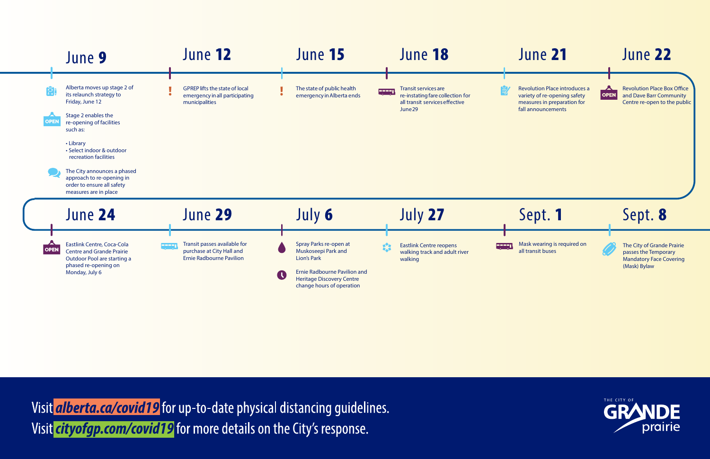Revolution Place Box Office and Dave Barr Community Centre re-open to the public

# June 21

Revolution Place introduces a variety of re-opening safety measures in preparation for fall announcements



## June 22



Visit *alberta.ca/covid19* for up-to-date physical distancing guidelines. Visit *cityofgp.com/covid19* for more details on the City's response.

### Sept. 8

The City of Grande Prairie passes the Temporary Mandatory Face Covering (Mask) Bylaw



# Sept. 1

Mask wearing is required on all transit buses

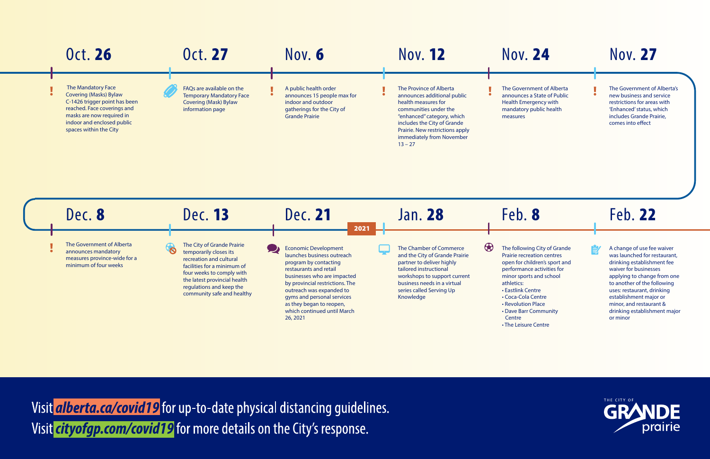The Government of Alberta's new business and service restrictions for areas with 'Enhanced' status, which includes Grande Prairie, comes into effect

# Nov. 27

nment of Alberta s a State of Public ergency with y public health

| <b>Oct. 26</b>                                                                                                                                                                                                               | <b>Oct. 27</b>                                                                                                                                                                                                                                    | Nov. 6                                                                                                                                                                                                                                                                                                          | <b>Nov. 12</b>                                                                                                                                                                                                                                   | Nov.                                                                                                                                                                     |
|------------------------------------------------------------------------------------------------------------------------------------------------------------------------------------------------------------------------------|---------------------------------------------------------------------------------------------------------------------------------------------------------------------------------------------------------------------------------------------------|-----------------------------------------------------------------------------------------------------------------------------------------------------------------------------------------------------------------------------------------------------------------------------------------------------------------|--------------------------------------------------------------------------------------------------------------------------------------------------------------------------------------------------------------------------------------------------|--------------------------------------------------------------------------------------------------------------------------------------------------------------------------|
| <b>The Mandatory Face</b><br><b>Covering (Masks) Bylaw</b><br>$\bullet$<br>C-1426 trigger point has been<br>reached. Face coverings and<br>masks are now required in<br>indoor and enclosed public<br>spaces within the City | FAQs are available on the<br><b>Temporary Mandatory Face</b><br><b>Covering (Mask) Bylaw</b><br>information page                                                                                                                                  | A public health order<br>announces 15 people max for<br>indoor and outdoor<br>gatherings for the City of<br><b>Grande Prairie</b>                                                                                                                                                                               | The Province of Alberta<br>announces additional public<br>health measures for<br>communities under the<br>"enhanced" category, which<br>includes the City of Grande<br>Prairie. New restrictions apply<br>immediately from November<br>$13 - 27$ | The Gover<br>announces<br>Health Em<br>mandatory<br>measures                                                                                                             |
| Dec. 8                                                                                                                                                                                                                       | Dec. 13                                                                                                                                                                                                                                           | Dec. 21<br>2021                                                                                                                                                                                                                                                                                                 | Jan. 28                                                                                                                                                                                                                                          | Feb.                                                                                                                                                                     |
| The Government of Alberta<br>$\bullet$<br>announces mandatory<br>measures province-wide for a<br>minimum of four weeks                                                                                                       | The City of Grande Prairie<br>$\delta$<br>temporarily closes its<br>recreation and cultural<br>facilities for a minimum of<br>four weeks to comply with<br>the latest provincial health<br>regulations and keep the<br>community safe and healthy | <b>Economic Development</b><br>launches business outreach<br>program by contacting<br>restaurants and retail<br>businesses who are impacted<br>by provincial restrictions. The<br>outreach was expanded to<br>gyms and personal services<br>as they began to reopen,<br>which continued until March<br>26, 2021 | $\bigcirc$<br>The Chamber of Commerce<br>and the City of Grande Prairie<br>partner to deliver highly<br>tailored instructional<br>workshops to support current<br>business needs in a virtual<br>series called Serving Up<br>Knowledge           | The follow<br>Prairie recr<br>open for cl<br>performan<br>minor spor<br>athletics:<br>• Eastlink C<br>· Coca-Cola<br>• Revolutio<br>• Dave Barr<br>Centre<br>• The Leisu |

Visit *alberta.ca/covid19* for up-to-date physical distancing guidelines. Visit *cityofgp.com/covid19* for more details on the City's response.

### **24**

# Feb. 22

皀

A change of use fee waiver was launched for restaurant, drinking establishment fee waiver for businesses applying to change from one to another of the following uses: restaurant, drinking establishment major or minor, and restaurant & drinking establishment major or minor



#### Feb. 8

ing City of Grande reation centres hildren's sport and nce activities for rts and school entre i a Centre

on Place r Community

re Centre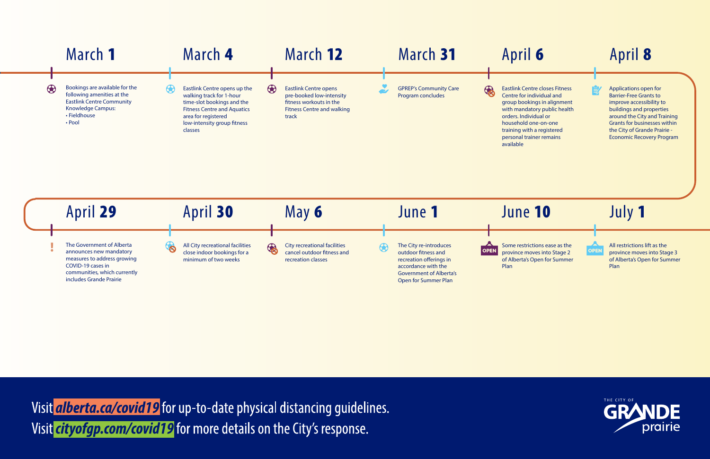

Visit *alberta.ca/covid19* for up-to-date physical distancing guidelines. Visit *cityofgp.com/covid19* for more details on the City's response.

#### April 8 Eastlink Centre closes Fitness Applications open for Centre for individual and Barrier-Free Grants to group bookings in alignment improve accessibility to with mandatory public health buildings and properties around the City and Training orders. Individual or household one-on-one Grants for businesses within training with a registered the City of Grande Prairie personal trainer remains Economic Recovery Program June 10 July 1  $\blacktriangle$ All restrictions lift as the Some restrictions ease as the **OPEN** province moves into Stage 2 province moves into Stage 3 of Alberta's Open for Summer of Alberta's Open for Summer Plan